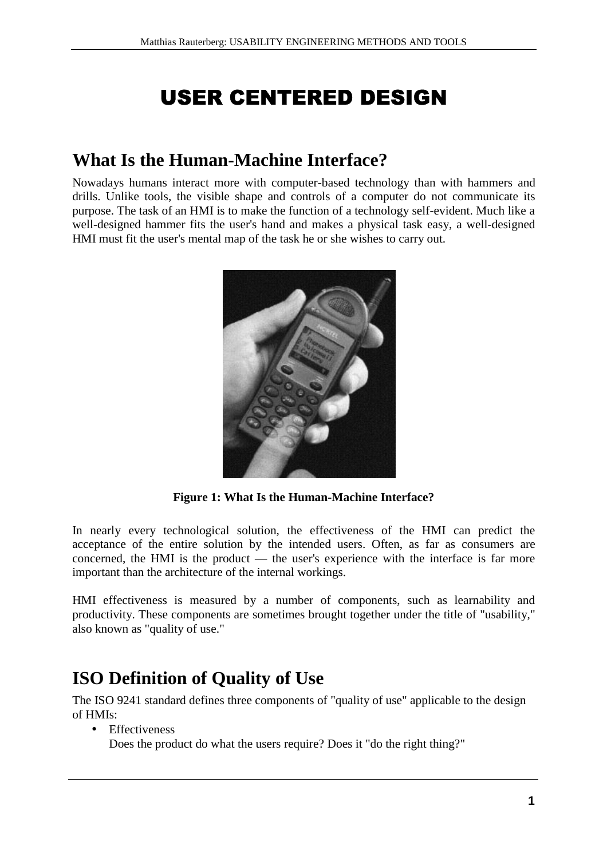# **USER CENTERED DESIGN**

### **What Is the Human-Machine Interface?**

Nowadays humans interact more with computer-based technology than with hammers and drills. Unlike tools, the visible shape and controls of a computer do not communicate its purpose. The task of an HMI is to make the function of a technology self-evident. Much like a well-designed hammer fits the user's hand and makes a physical task easy, a well-designed HMI must fit the user's mental map of the task he or she wishes to carry out.



**Figure 1: What Is the Human-Machine Interface?**

In nearly every technological solution, the effectiveness of the HMI can predict the acceptance of the entire solution by the intended users. Often, as far as consumers are concerned, the HMI is the product — the user's experience with the interface is far more important than the architecture of the internal workings.

HMI effectiveness is measured by a number of components, such as learnability and productivity. These components are sometimes brought together under the title of "usability," also known as "quality of use."

## **ISO Definition of Quality of Use**

The ISO 9241 standard defines three components of "quality of use" applicable to the design of HMIs:

- Effectiveness
	- Does the product do what the users require? Does it "do the right thing?"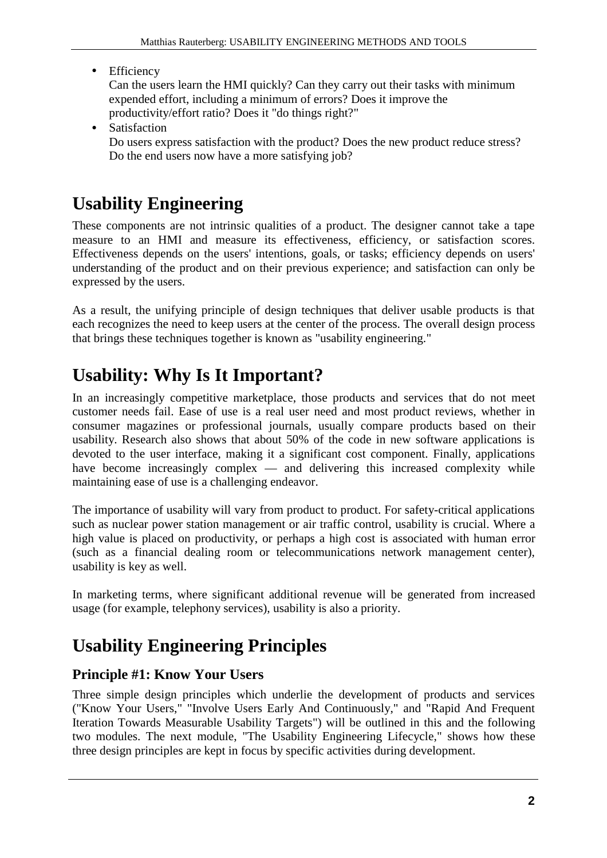• Efficiency

Can the users learn the HMI quickly? Can they carry out their tasks with minimum expended effort, including a minimum of errors? Does it improve the productivity/effort ratio? Does it "do things right?"

• Satisfaction Do users express satisfaction with the product? Does the new product reduce stress? Do the end users now have a more satisfying job?

## **Usability Engineering**

These components are not intrinsic qualities of a product. The designer cannot take a tape measure to an HMI and measure its effectiveness, efficiency, or satisfaction scores. Effectiveness depends on the users' intentions, goals, or tasks; efficiency depends on users' understanding of the product and on their previous experience; and satisfaction can only be expressed by the users.

As a result, the unifying principle of design techniques that deliver usable products is that each recognizes the need to keep users at the center of the process. The overall design process that brings these techniques together is known as "usability engineering."

## **Usability: Why Is It Important?**

In an increasingly competitive marketplace, those products and services that do not meet customer needs fail. Ease of use is a real user need and most product reviews, whether in consumer magazines or professional journals, usually compare products based on their usability. Research also shows that about 50% of the code in new software applications is devoted to the user interface, making it a significant cost component. Finally, applications have become increasingly complex — and delivering this increased complexity while maintaining ease of use is a challenging endeavor.

The importance of usability will vary from product to product. For safety-critical applications such as nuclear power station management or air traffic control, usability is crucial. Where a high value is placed on productivity, or perhaps a high cost is associated with human error (such as a financial dealing room or telecommunications network management center), usability is key as well.

In marketing terms, where significant additional revenue will be generated from increased usage (for example, telephony services), usability is also a priority.

## **Usability Engineering Principles**

### **Principle #1: Know Your Users**

Three simple design principles which underlie the development of products and services ("Know Your Users," "Involve Users Early And Continuously," and "Rapid And Frequent Iteration Towards Measurable Usability Targets") will be outlined in this and the following two modules. The next module, "The Usability Engineering Lifecycle," shows how these three design principles are kept in focus by specific activities during development.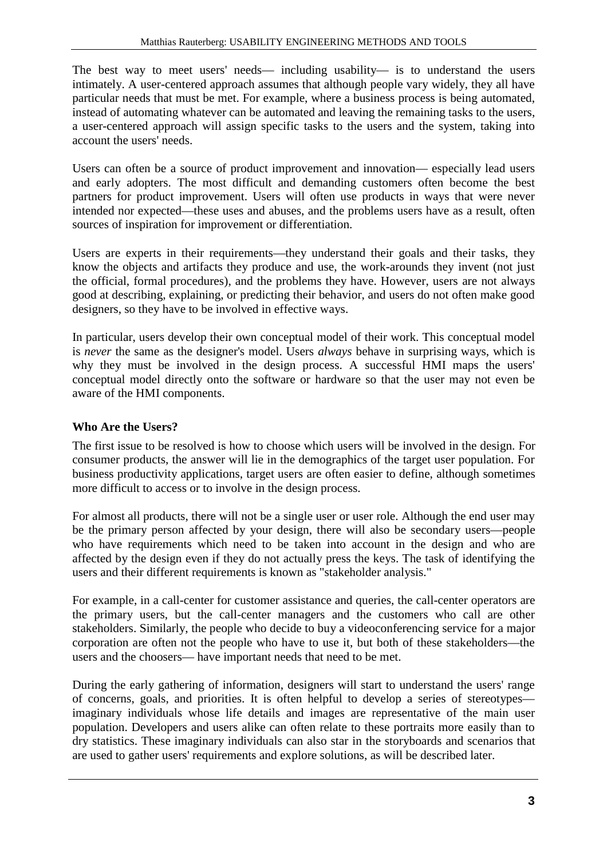The best way to meet users' needs— including usability— is to understand the users intimately. A user-centered approach assumes that although people vary widely, they all have particular needs that must be met. For example, where a business process is being automated, instead of automating whatever can be automated and leaving the remaining tasks to the users, a user-centered approach will assign specific tasks to the users and the system, taking into account the users' needs.

Users can often be a source of product improvement and innovation— especially lead users and early adopters. The most difficult and demanding customers often become the best partners for product improvement. Users will often use products in ways that were never intended nor expected—these uses and abuses, and the problems users have as a result, often sources of inspiration for improvement or differentiation.

Users are experts in their requirements—they understand their goals and their tasks, they know the objects and artifacts they produce and use, the work-arounds they invent (not just the official, formal procedures), and the problems they have. However, users are not always good at describing, explaining, or predicting their behavior, and users do not often make good designers, so they have to be involved in effective ways.

In particular, users develop their own conceptual model of their work. This conceptual model is *never* the same as the designer's model. Users *always* behave in surprising ways, which is why they must be involved in the design process. A successful HMI maps the users' conceptual model directly onto the software or hardware so that the user may not even be aware of the HMI components.

#### **Who Are the Users?**

The first issue to be resolved is how to choose which users will be involved in the design. For consumer products, the answer will lie in the demographics of the target user population. For business productivity applications, target users are often easier to define, although sometimes more difficult to access or to involve in the design process.

For almost all products, there will not be a single user or user role. Although the end user may be the primary person affected by your design, there will also be secondary users—people who have requirements which need to be taken into account in the design and who are affected by the design even if they do not actually press the keys. The task of identifying the users and their different requirements is known as "stakeholder analysis."

For example, in a call-center for customer assistance and queries, the call-center operators are the primary users, but the call-center managers and the customers who call are other stakeholders. Similarly, the people who decide to buy a videoconferencing service for a major corporation are often not the people who have to use it, but both of these stakeholders—the users and the choosers— have important needs that need to be met.

During the early gathering of information, designers will start to understand the users' range of concerns, goals, and priorities. It is often helpful to develop a series of stereotypes imaginary individuals whose life details and images are representative of the main user population. Developers and users alike can often relate to these portraits more easily than to dry statistics. These imaginary individuals can also star in the storyboards and scenarios that are used to gather users' requirements and explore solutions, as will be described later.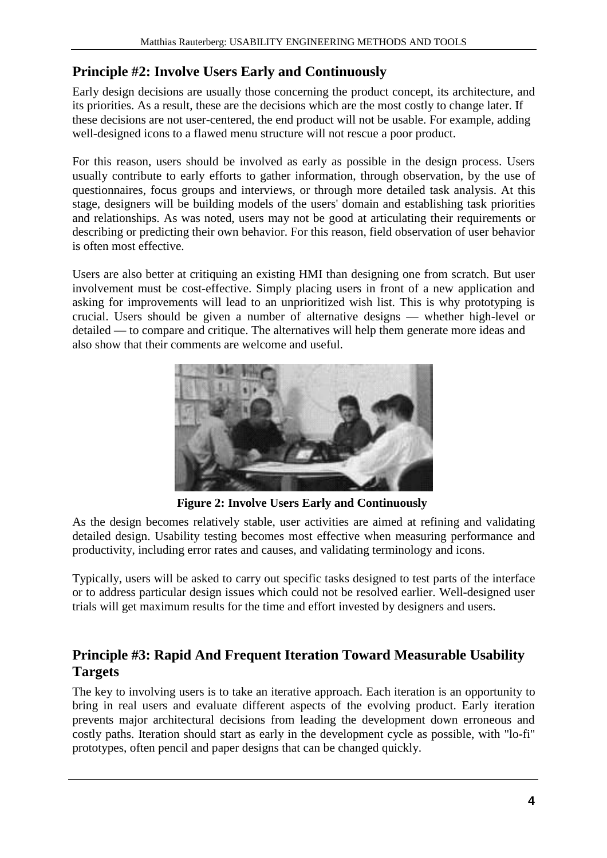### **Principle #2: Involve Users Early and Continuously**

Early design decisions are usually those concerning the product concept, its architecture, and its priorities. As a result, these are the decisions which are the most costly to change later. If these decisions are not user-centered, the end product will not be usable. For example, adding well-designed icons to a flawed menu structure will not rescue a poor product.

For this reason, users should be involved as early as possible in the design process. Users usually contribute to early efforts to gather information, through observation, by the use of questionnaires, focus groups and interviews, or through more detailed task analysis. At this stage, designers will be building models of the users' domain and establishing task priorities and relationships. As was noted, users may not be good at articulating their requirements or describing or predicting their own behavior. For this reason, field observation of user behavior is often most effective.

Users are also better at critiquing an existing HMI than designing one from scratch. But user involvement must be cost-effective. Simply placing users in front of a new application and asking for improvements will lead to an unprioritized wish list. This is why prototyping is crucial. Users should be given a number of alternative designs — whether high-level or detailed — to compare and critique. The alternatives will help them generate more ideas and also show that their comments are welcome and useful.



**Figure 2: Involve Users Early and Continuously** 

As the design becomes relatively stable, user activities are aimed at refining and validating detailed design. Usability testing becomes most effective when measuring performance and productivity, including error rates and causes, and validating terminology and icons.

Typically, users will be asked to carry out specific tasks designed to test parts of the interface or to address particular design issues which could not be resolved earlier. Well-designed user trials will get maximum results for the time and effort invested by designers and users.

#### **Principle #3: Rapid And Frequent Iteration Toward Measurable Usability Targets**

The key to involving users is to take an iterative approach. Each iteration is an opportunity to bring in real users and evaluate different aspects of the evolving product. Early iteration prevents major architectural decisions from leading the development down erroneous and costly paths. Iteration should start as early in the development cycle as possible, with "lo-fi" prototypes, often pencil and paper designs that can be changed quickly.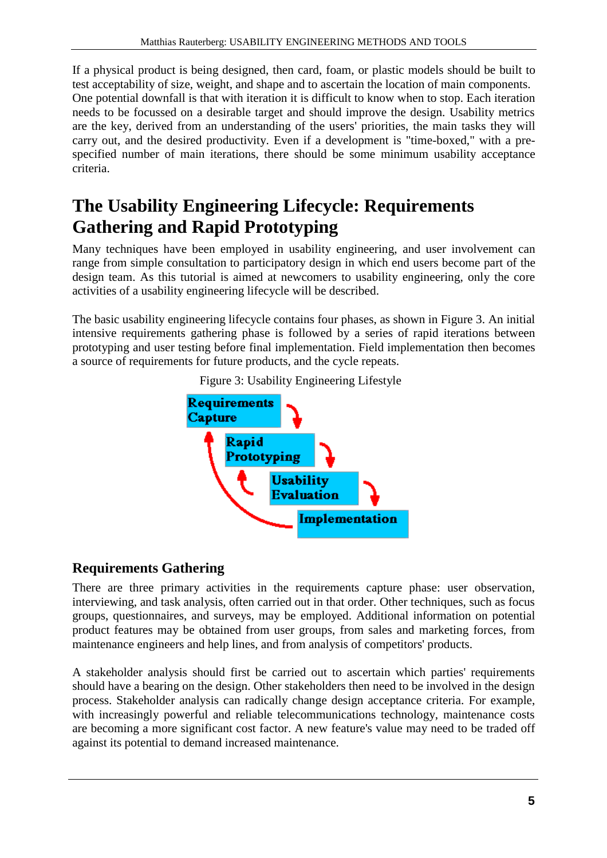If a physical product is being designed, then card, foam, or plastic models should be built to test acceptability of size, weight, and shape and to ascertain the location of main components. One potential downfall is that with iteration it is difficult to know when to stop. Each iteration needs to be focussed on a desirable target and should improve the design. Usability metrics are the key, derived from an understanding of the users' priorities, the main tasks they will carry out, and the desired productivity. Even if a development is "time-boxed," with a prespecified number of main iterations, there should be some minimum usability acceptance criteria.

## **The Usability Engineering Lifecycle: Requirements Gathering and Rapid Prototyping**

Many techniques have been employed in usability engineering, and user involvement can range from simple consultation to participatory design in which end users become part of the design team. As this tutorial is aimed at newcomers to usability engineering, only the core activities of a usability engineering lifecycle will be described.

The basic usability engineering lifecycle contains four phases, as shown in Figure 3. An initial intensive requirements gathering phase is followed by a series of rapid iterations between prototyping and user testing before final implementation. Field implementation then becomes a source of requirements for future products, and the cycle repeats.





### **Requirements Gathering**

There are three primary activities in the requirements capture phase: user observation, interviewing, and task analysis, often carried out in that order. Other techniques, such as focus groups, questionnaires, and surveys, may be employed. Additional information on potential product features may be obtained from user groups, from sales and marketing forces, from maintenance engineers and help lines, and from analysis of competitors' products.

A stakeholder analysis should first be carried out to ascertain which parties' requirements should have a bearing on the design. Other stakeholders then need to be involved in the design process. Stakeholder analysis can radically change design acceptance criteria. For example, with increasingly powerful and reliable telecommunications technology, maintenance costs are becoming a more significant cost factor. A new feature's value may need to be traded off against its potential to demand increased maintenance.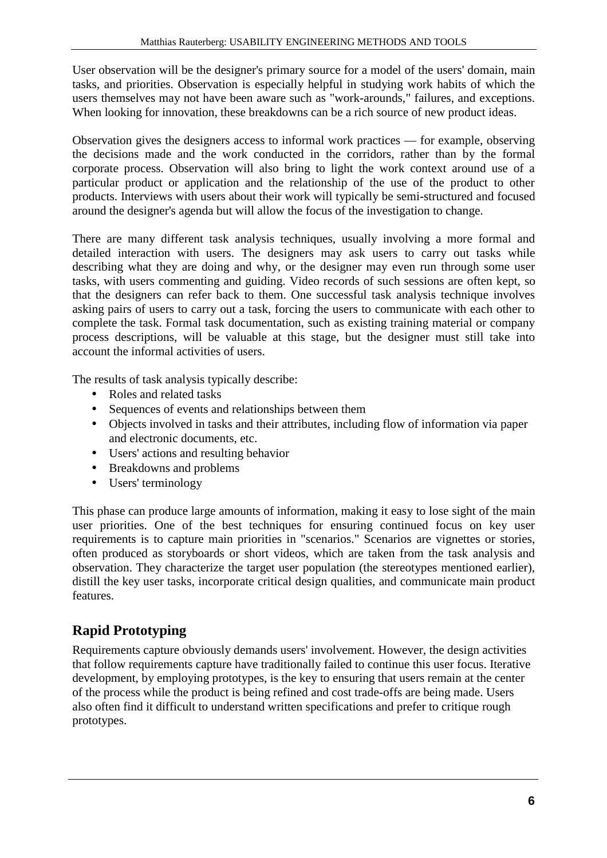User observation will be the designer's primary source for a model of the users' domain, main tasks, and priorities. Observation is especially helpful in studying work habits of which the users themselves may not have been aware such as "work-arounds," failures, and exceptions. When looking for innovation, these breakdowns can be a rich source of new product ideas.

Observation gives the designers access to informal work practices — for example, observing the decisions made and the work conducted in the corridors, rather than by the formal corporate process. Observation will also bring to light the work context around use of a particular product or application and the relationship of the use of the product to other products. Interviews with users about their work will typically be semi-structured and focused around the designer's agenda but will allow the focus of the investigation to change.

There are many different task analysis techniques, usually involving a more formal and detailed interaction with users. The designers may ask users to carry out tasks while describing what they are doing and why, or the designer may even run through some user tasks, with users commenting and guiding. Video records of such sessions are often kept, so that the designers can refer back to them. One successful task analysis technique involves asking pairs of users to carry out a task, forcing the users to communicate with each other to complete the task. Formal task documentation, such as existing training material or company process descriptions, will be valuable at this stage, but the designer must still take into account the informal activities of users.

The results of task analysis typically describe:

- Roles and related tasks
- Sequences of events and relationships between them
- Objects involved in tasks and their attributes, including flow of information via paper and electronic documents, etc.
- Users' actions and resulting behavior
- Breakdowns and problems
- Users' terminology

This phase can produce large amounts of information, making it easy to lose sight of the main user priorities. One of the best techniques for ensuring continued focus on key user requirements is to capture main priorities in "scenarios." Scenarios are vignettes or stories, often produced as storyboards or short videos, which are taken from the task analysis and observation. They characterize the target user population (the stereotypes mentioned earlier), distill the key user tasks, incorporate critical design qualities, and communicate main product features.

### **Rapid Prototyping**

Requirements capture obviously demands users' involvement. However, the design activities that follow requirements capture have traditionally failed to continue this user focus. Iterative development, by employing prototypes, is the key to ensuring that users remain at the center of the process while the product is being refined and cost trade-offs are being made. Users also often find it difficult to understand written specifications and prefer to critique rough prototypes.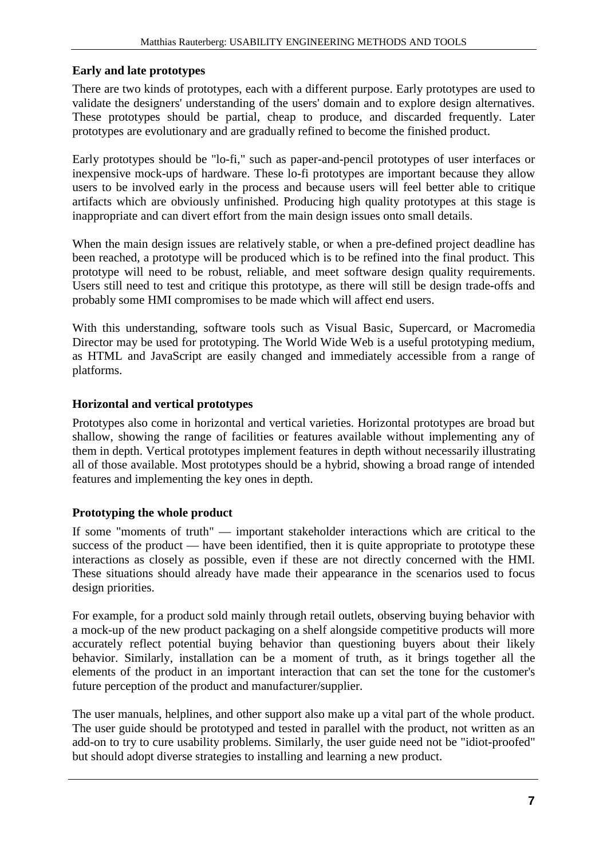#### **Early and late prototypes**

There are two kinds of prototypes, each with a different purpose. Early prototypes are used to validate the designers' understanding of the users' domain and to explore design alternatives. These prototypes should be partial, cheap to produce, and discarded frequently. Later prototypes are evolutionary and are gradually refined to become the finished product.

Early prototypes should be "lo-fi," such as paper-and-pencil prototypes of user interfaces or inexpensive mock-ups of hardware. These lo-fi prototypes are important because they allow users to be involved early in the process and because users will feel better able to critique artifacts which are obviously unfinished. Producing high quality prototypes at this stage is inappropriate and can divert effort from the main design issues onto small details.

When the main design issues are relatively stable, or when a pre-defined project deadline has been reached, a prototype will be produced which is to be refined into the final product. This prototype will need to be robust, reliable, and meet software design quality requirements. Users still need to test and critique this prototype, as there will still be design trade-offs and probably some HMI compromises to be made which will affect end users.

With this understanding, software tools such as Visual Basic, Supercard, or Macromedia Director may be used for prototyping. The World Wide Web is a useful prototyping medium, as HTML and JavaScript are easily changed and immediately accessible from a range of platforms.

#### **Horizontal and vertical prototypes**

Prototypes also come in horizontal and vertical varieties. Horizontal prototypes are broad but shallow, showing the range of facilities or features available without implementing any of them in depth. Vertical prototypes implement features in depth without necessarily illustrating all of those available. Most prototypes should be a hybrid, showing a broad range of intended features and implementing the key ones in depth.

#### **Prototyping the whole product**

If some "moments of truth" — important stakeholder interactions which are critical to the success of the product — have been identified, then it is quite appropriate to prototype these interactions as closely as possible, even if these are not directly concerned with the HMI. These situations should already have made their appearance in the scenarios used to focus design priorities.

For example, for a product sold mainly through retail outlets, observing buying behavior with a mock-up of the new product packaging on a shelf alongside competitive products will more accurately reflect potential buying behavior than questioning buyers about their likely behavior. Similarly, installation can be a moment of truth, as it brings together all the elements of the product in an important interaction that can set the tone for the customer's future perception of the product and manufacturer/supplier.

The user manuals, helplines, and other support also make up a vital part of the whole product. The user guide should be prototyped and tested in parallel with the product, not written as an add-on to try to cure usability problems. Similarly, the user guide need not be "idiot-proofed" but should adopt diverse strategies to installing and learning a new product.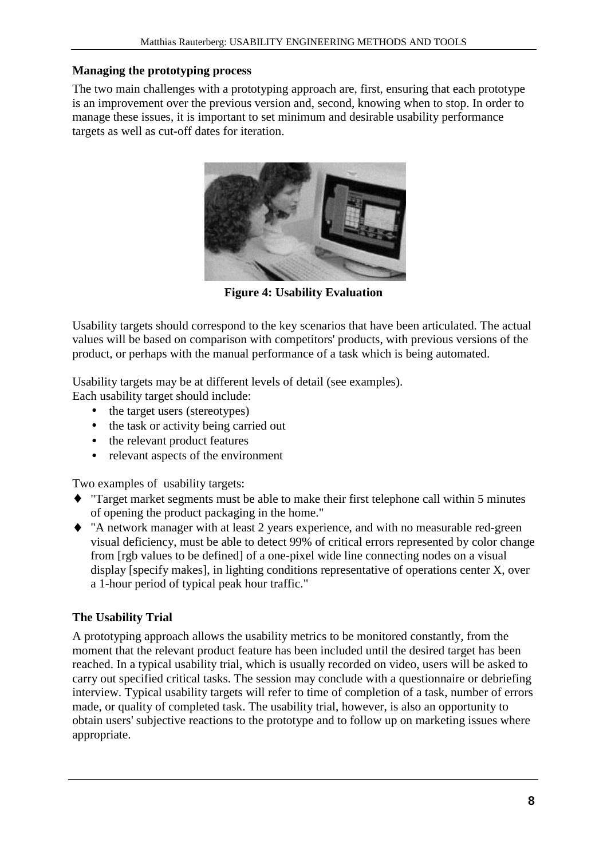#### **Managing the prototyping process**

The two main challenges with a prototyping approach are, first, ensuring that each prototype is an improvement over the previous version and, second, knowing when to stop. In order to manage these issues, it is important to set minimum and desirable usability performance targets as well as cut-off dates for iteration.



**Figure 4: Usability Evaluation**

Usability targets should correspond to the key scenarios that have been articulated. The actual values will be based on comparison with competitors' products, with previous versions of the product, or perhaps with the manual performance of a task which is being automated.

Usability targets may be at different levels of detail (see examples).

Each usability target should include:

- the target users (stereotypes)
- the task or activity being carried out
- the relevant product features
- relevant aspects of the environment

Two examples of usability targets:

- ♦ "Target market segments must be able to make their first telephone call within 5 minutes of opening the product packaging in the home."
- ♦ "A network manager with at least 2 years experience, and with no measurable red-green visual deficiency, must be able to detect 99% of critical errors represented by color change from [rgb values to be defined] of a one-pixel wide line connecting nodes on a visual display [specify makes], in lighting conditions representative of operations center X, over a 1-hour period of typical peak hour traffic."

#### **The Usability Trial**

A prototyping approach allows the usability metrics to be monitored constantly, from the moment that the relevant product feature has been included until the desired target has been reached. In a typical usability trial, which is usually recorded on video, users will be asked to carry out specified critical tasks. The session may conclude with a questionnaire or debriefing interview. Typical usability targets will refer to time of completion of a task, number of errors made, or quality of completed task. The usability trial, however, is also an opportunity to obtain users' subjective reactions to the prototype and to follow up on marketing issues where appropriate.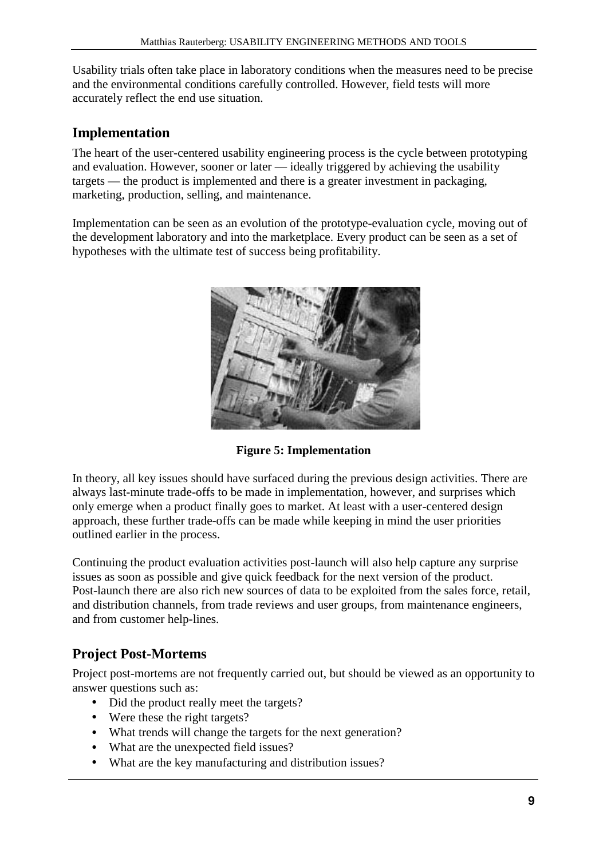Usability trials often take place in laboratory conditions when the measures need to be precise and the environmental conditions carefully controlled. However, field tests will more accurately reflect the end use situation.

#### **Implementation**

The heart of the user-centered usability engineering process is the cycle between prototyping and evaluation. However, sooner or later — ideally triggered by achieving the usability targets — the product is implemented and there is a greater investment in packaging, marketing, production, selling, and maintenance.

Implementation can be seen as an evolution of the prototype-evaluation cycle, moving out of the development laboratory and into the marketplace. Every product can be seen as a set of hypotheses with the ultimate test of success being profitability.



**Figure 5: Implementation**

In theory, all key issues should have surfaced during the previous design activities. There are always last-minute trade-offs to be made in implementation, however, and surprises which only emerge when a product finally goes to market. At least with a user-centered design approach, these further trade-offs can be made while keeping in mind the user priorities outlined earlier in the process.

Continuing the product evaluation activities post-launch will also help capture any surprise issues as soon as possible and give quick feedback for the next version of the product. Post-launch there are also rich new sources of data to be exploited from the sales force, retail, and distribution channels, from trade reviews and user groups, from maintenance engineers, and from customer help-lines.

### **Project Post-Mortems**

Project post-mortems are not frequently carried out, but should be viewed as an opportunity to answer questions such as:

- Did the product really meet the targets?
- Were these the right targets?
- What trends will change the targets for the next generation?
- What are the unexpected field issues?
- What are the key manufacturing and distribution issues?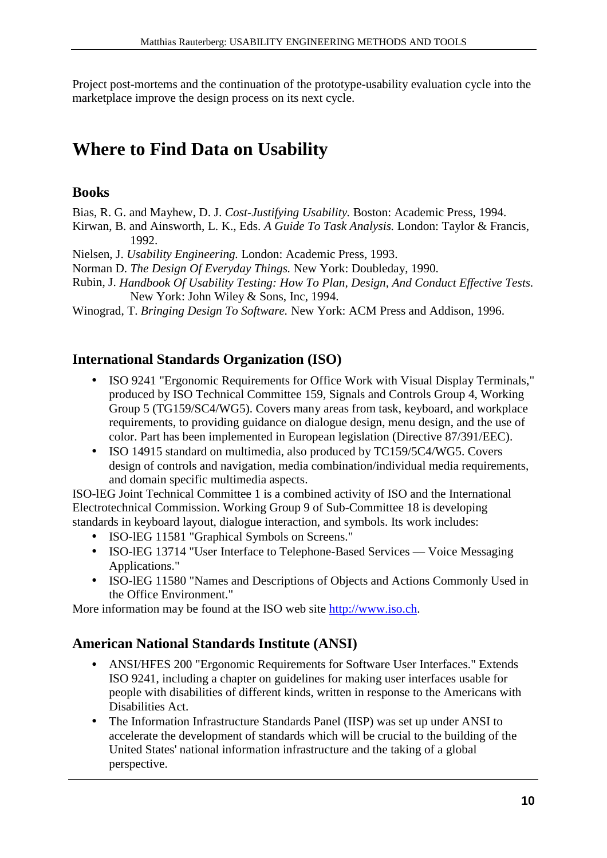Project post-mortems and the continuation of the prototype-usability evaluation cycle into the marketplace improve the design process on its next cycle.

## **Where to Find Data on Usability**

#### **Books**

Bias, R. G. and Mayhew, D. J. *Cost-Justifying Usability.* Boston: Academic Press, 1994.

- Kirwan, B. and Ainsworth, L. K., Eds. *A Guide To Task Analysis.* London: Taylor & Francis, 1992.
- Nielsen, J. *Usability Engineering.* London: Academic Press, 1993.
- Norman D. *The Design Of Everyday Things.* New York: Doubleday, 1990.
- Rubin, J. *Handbook Of Usability Testing: How To Plan, Design, And Conduct Effective Tests.* New York: John Wiley & Sons, Inc, 1994.
- Winograd, T. *Bringing Design To Software.* New York: ACM Press and Addison, 1996.

### **International Standards Organization (ISO)**

- ISO 9241 "Ergonomic Requirements for Office Work with Visual Display Terminals," produced by ISO Technical Committee 159, Signals and Controls Group 4, Working Group 5 (TG159/SC4/WG5). Covers many areas from task, keyboard, and workplace requirements, to providing guidance on dialogue design, menu design, and the use of color. Part has been implemented in European legislation (Directive 87/391/EEC).
- ISO 14915 standard on multimedia, also produced by TC159/5C4/WG5. Covers design of controls and navigation, media combination/individual media requirements, and domain specific multimedia aspects.

ISO-lEG Joint Technical Committee 1 is a combined activity of ISO and the International Electrotechnical Commission. Working Group 9 of Sub-Committee 18 is developing standards in keyboard layout, dialogue interaction, and symbols. Its work includes:

- ISO-lEG 11581 "Graphical Symbols on Screens."
- ISO-lEG 13714 "User Interface to Telephone-Based Services Voice Messaging Applications."
- ISO-lEG 11580 "Names and Descriptions of Objects and Actions Commonly Used in the Office Environment."

More information may be found at the ISO web site http://www.iso.ch.

### **American National Standards Institute (ANSI)**

- ANSI/HFES 200 "Ergonomic Requirements for Software User Interfaces." Extends ISO 9241, including a chapter on guidelines for making user interfaces usable for people with disabilities of different kinds, written in response to the Americans with Disabilities Act.
- The Information Infrastructure Standards Panel (IISP) was set up under ANSI to accelerate the development of standards which will be crucial to the building of the United States' national information infrastructure and the taking of a global perspective.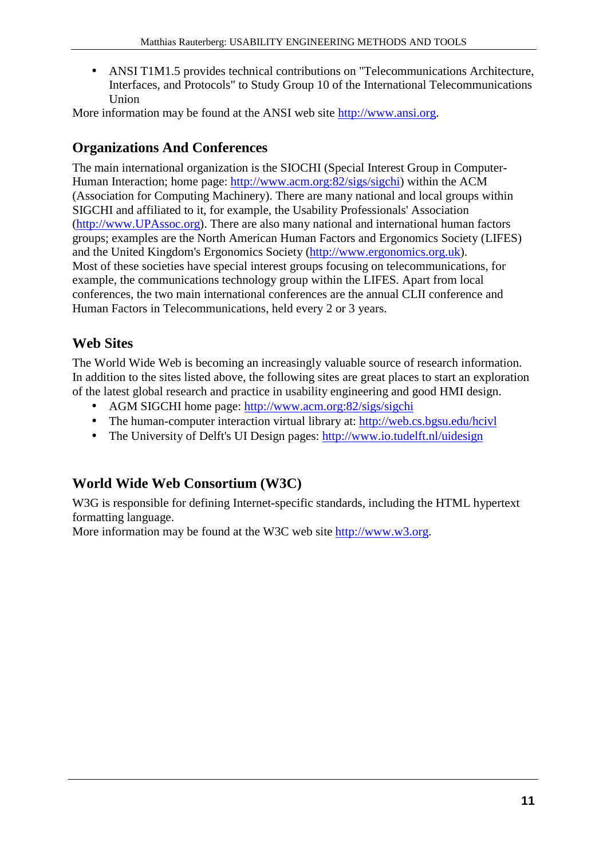• ANSI T1M1.5 provides technical contributions on "Telecommunications Architecture, Interfaces, and Protocols" to Study Group 10 of the International Telecommunications Union

More information may be found at the ANSI web site http://www.ansi.org.

### **Organizations And Conferences**

The main international organization is the SIOCHI (Special Interest Group in Computer-Human Interaction; home page: http://www.acm.org:82/sigs/sigchi) within the ACM (Association for Computing Machinery). There are many national and local groups within SIGCHI and affiliated to it, for example, the Usability Professionals' Association (http://www.UPAssoc.org). There are also many national and international human factors groups; examples are the North American Human Factors and Ergonomics Society (LIFES) and the United Kingdom's Ergonomics Society (http://www.ergonomics.org.uk). Most of these societies have special interest groups focusing on telecommunications, for example, the communications technology group within the LIFES. Apart from local conferences, the two main international conferences are the annual CLII conference and Human Factors in Telecommunications, held every 2 or 3 years.

### **Web Sites**

The World Wide Web is becoming an increasingly valuable source of research information. In addition to the sites listed above, the following sites are great places to start an exploration of the latest global research and practice in usability engineering and good HMI design.

- AGM SIGCHI home page: http://www.acm.org:82/sigs/sigchi
- The human-computer interaction virtual library at: http://web.cs.bgsu.edu/hcivl
- The University of Delft's UI Design pages: http://www.io.tudelft.nl/uidesign

### **World Wide Web Consortium (W3C)**

W<sub>3G</sub> is responsible for defining Internet-specific standards, including the HTML hypertext formatting language.

More information may be found at the W3C web site http://www.w3.org.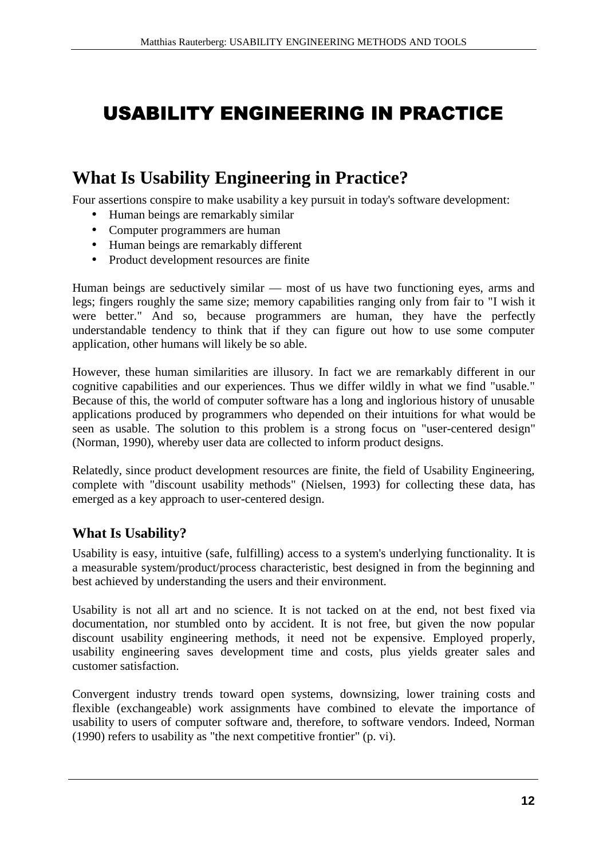## USABILITY ENGINEERING IN PRACTICE

## **What Is Usability Engineering in Practice?**

Four assertions conspire to make usability a key pursuit in today's software development:

- Human beings are remarkably similar
- Computer programmers are human
- Human beings are remarkably different
- Product development resources are finite

Human beings are seductively similar — most of us have two functioning eyes, arms and legs; fingers roughly the same size; memory capabilities ranging only from fair to "I wish it were better." And so, because programmers are human, they have the perfectly understandable tendency to think that if they can figure out how to use some computer application, other humans will likely be so able.

However, these human similarities are illusory. In fact we are remarkably different in our cognitive capabilities and our experiences. Thus we differ wildly in what we find "usable." Because of this, the world of computer software has a long and inglorious history of unusable applications produced by programmers who depended on their intuitions for what would be seen as usable. The solution to this problem is a strong focus on "user-centered design" (Norman, 1990), whereby user data are collected to inform product designs.

Relatedly, since product development resources are finite, the field of Usability Engineering, complete with "discount usability methods" (Nielsen, 1993) for collecting these data, has emerged as a key approach to user-centered design.

#### **What Is Usability?**

Usability is easy, intuitive (safe, fulfilling) access to a system's underlying functionality. It is a measurable system/product/process characteristic, best designed in from the beginning and best achieved by understanding the users and their environment.

Usability is not all art and no science. It is not tacked on at the end, not best fixed via documentation, nor stumbled onto by accident. It is not free, but given the now popular discount usability engineering methods, it need not be expensive. Employed properly, usability engineering saves development time and costs, plus yields greater sales and customer satisfaction.

Convergent industry trends toward open systems, downsizing, lower training costs and flexible (exchangeable) work assignments have combined to elevate the importance of usability to users of computer software and, therefore, to software vendors. Indeed, Norman (1990) refers to usability as "the next competitive frontier" (p. vi).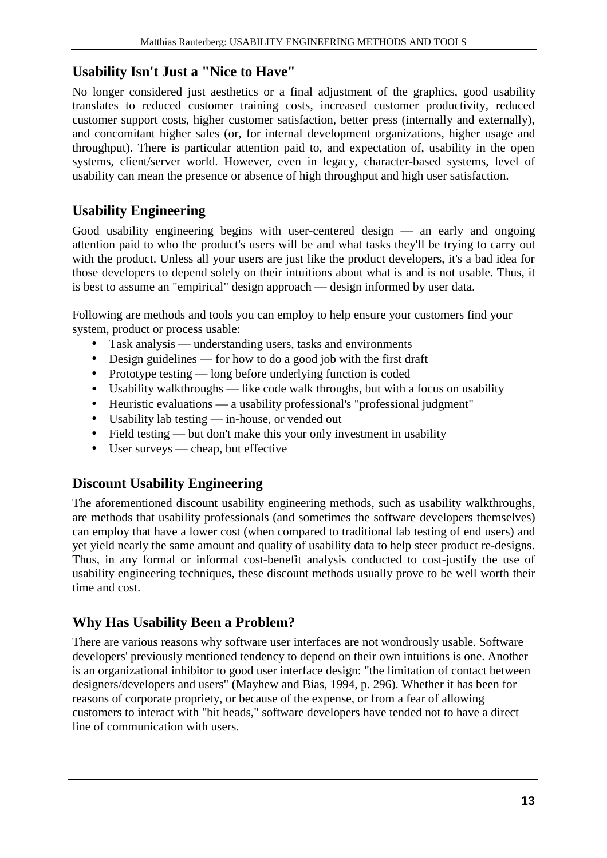### **Usability Isn't Just a "Nice to Have"**

No longer considered just aesthetics or a final adjustment of the graphics, good usability translates to reduced customer training costs, increased customer productivity, reduced customer support costs, higher customer satisfaction, better press (internally and externally), and concomitant higher sales (or, for internal development organizations, higher usage and throughput). There is particular attention paid to, and expectation of, usability in the open systems, client/server world. However, even in legacy, character-based systems, level of usability can mean the presence or absence of high throughput and high user satisfaction.

### **Usability Engineering**

Good usability engineering begins with user-centered design — an early and ongoing attention paid to who the product's users will be and what tasks they'll be trying to carry out with the product. Unless all your users are just like the product developers, it's a bad idea for those developers to depend solely on their intuitions about what is and is not usable. Thus, it is best to assume an "empirical" design approach — design informed by user data.

Following are methods and tools you can employ to help ensure your customers find your system, product or process usable:

- Task analysis understanding users, tasks and environments
- Design guidelines for how to do a good job with the first draft
- Prototype testing long before underlying function is coded
- Usability walkthroughs like code walk throughs, but with a focus on usability
- Heuristic evaluations a usability professional's "professional judgment"
- Usability lab testing in-house, or vended out
- Field testing but don't make this your only investment in usability
- User surveys cheap, but effective

### **Discount Usability Engineering**

The aforementioned discount usability engineering methods, such as usability walkthroughs, are methods that usability professionals (and sometimes the software developers themselves) can employ that have a lower cost (when compared to traditional lab testing of end users) and yet yield nearly the same amount and quality of usability data to help steer product re-designs. Thus, in any formal or informal cost-benefit analysis conducted to cost-justify the use of usability engineering techniques, these discount methods usually prove to be well worth their time and cost.

### **Why Has Usability Been a Problem?**

There are various reasons why software user interfaces are not wondrously usable. Software developers' previously mentioned tendency to depend on their own intuitions is one. Another is an organizational inhibitor to good user interface design: "the limitation of contact between designers/developers and users" (Mayhew and Bias, 1994, p. 296). Whether it has been for reasons of corporate propriety, or because of the expense, or from a fear of allowing customers to interact with "bit heads," software developers have tended not to have a direct line of communication with users.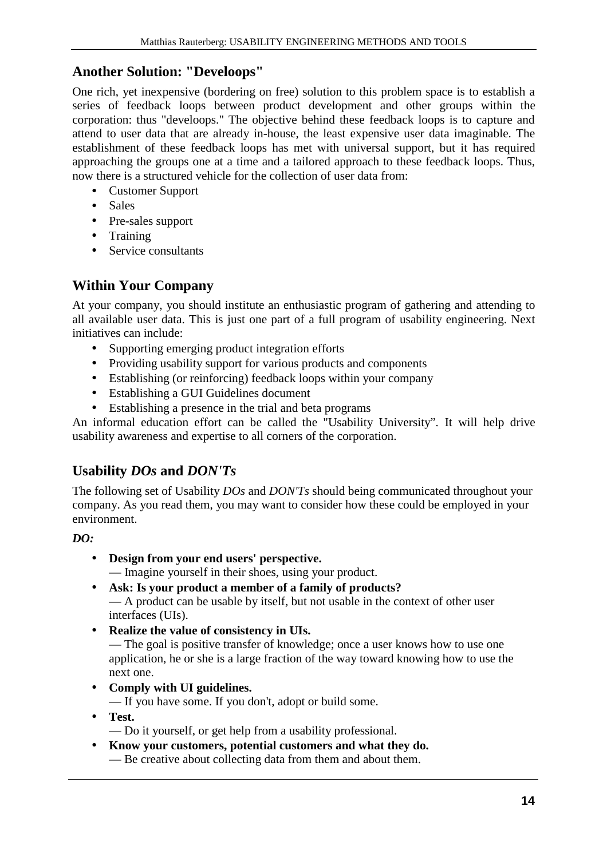### **Another Solution: "Develoops"**

One rich, yet inexpensive (bordering on free) solution to this problem space is to establish a series of feedback loops between product development and other groups within the corporation: thus "develoops." The objective behind these feedback loops is to capture and attend to user data that are already in-house, the least expensive user data imaginable. The establishment of these feedback loops has met with universal support, but it has required approaching the groups one at a time and a tailored approach to these feedback loops. Thus, now there is a structured vehicle for the collection of user data from:

- Customer Support
- Sales
- Pre-sales support
- Training
- Service consultants

### **Within Your Company**

At your company, you should institute an enthusiastic program of gathering and attending to all available user data. This is just one part of a full program of usability engineering. Next initiatives can include:

- Supporting emerging product integration efforts
- Providing usability support for various products and components
- Establishing (or reinforcing) feedback loops within your company
- Establishing a GUI Guidelines document
- Establishing a presence in the trial and beta programs

An informal education effort can be called the "Usability University". It will help drive usability awareness and expertise to all corners of the corporation.

### **Usability** *DOs* **and** *DON'Ts*

The following set of Usability *DOs* and *DON'Ts* should being communicated throughout your company. As you read them, you may want to consider how these could be employed in your environment.

#### *DO:*

- **Design from your end users' perspective.** — Imagine yourself in their shoes, using your product.
- **Ask: Is your product a member of a family of products?** — A product can be usable by itself, but not usable in the context of other user interfaces (UIs).
- **Realize the value of consistency in UIs.** — The goal is positive transfer of knowledge; once a user knows how to use one

application, he or she is a large fraction of the way toward knowing how to use the next one.

• **Comply with UI guidelines.**

— If you have some. If you don't, adopt or build some.

- **Test.**
	- Do it yourself, or get help from a usability professional.
- **Know your customers, potential customers and what they do.** — Be creative about collecting data from them and about them.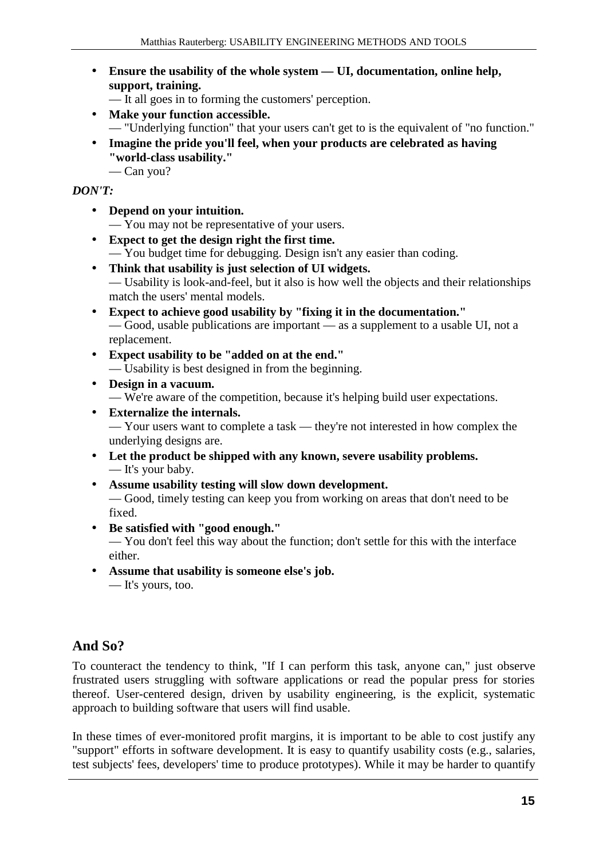- **Ensure the usability of the whole system UI, documentation, online help, support, training.**
	- It all goes in to forming the customers' perception.
- **Make your function accessible.** — "Underlying function" that your users can't get to is the equivalent of "no function."
- **Imagine the pride you'll feel, when your products are celebrated as having "world-class usability."**
	- Can you?

#### *DON'T:*

- **Depend on your intuition.**
	- You may not be representative of your users.
- **Expect to get the design right the first time.** — You budget time for debugging. Design isn't any easier than coding.
- **Think that usability is just selection of UI widgets.** — Usability is look-and-feel, but it also is how well the objects and their relationships match the users' mental models.
- **Expect to achieve good usability by "fixing it in the documentation."** — Good, usable publications are important — as a supplement to a usable UI, not a replacement.
- **Expect usability to be "added on at the end."** — Usability is best designed in from the beginning.
- **Design in a vacuum.** — We're aware of the competition, because it's helping build user expectations.
- **Externalize the internals.** — Your users want to complete a task — they're not interested in how complex the underlying designs are.
- **Let the product be shipped with any known, severe usability problems.** — It's your baby.
- **Assume usability testing will slow down development.** — Good, timely testing can keep you from working on areas that don't need to be fixed.
- **Be satisfied with "good enough."**

— You don't feel this way about the function; don't settle for this with the interface either.

• **Assume that usability is someone else's job.** — It's yours, too.

### **And So?**

To counteract the tendency to think, "If I can perform this task, anyone can," just observe frustrated users struggling with software applications or read the popular press for stories thereof. User-centered design, driven by usability engineering, is the explicit, systematic approach to building software that users will find usable.

In these times of ever-monitored profit margins, it is important to be able to cost justify any "support" efforts in software development. It is easy to quantify usability costs (e.g., salaries, test subjects' fees, developers' time to produce prototypes). While it may be harder to quantify